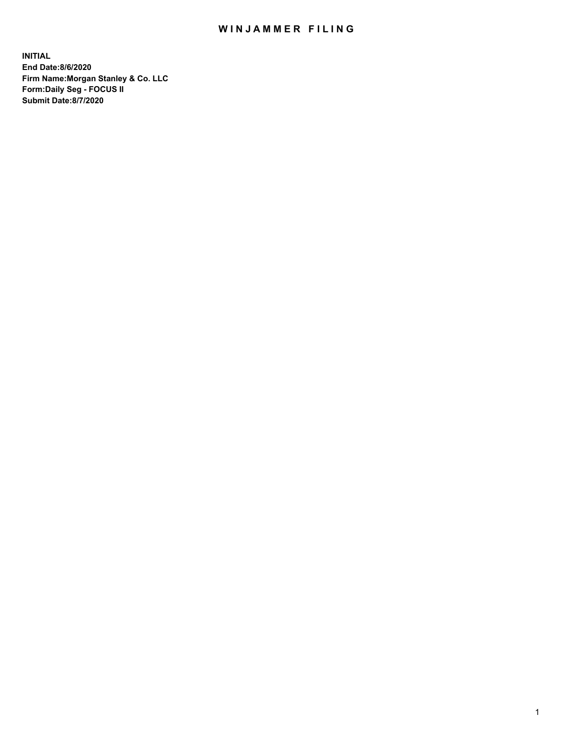## WIN JAMMER FILING

**INITIAL End Date:8/6/2020 Firm Name:Morgan Stanley & Co. LLC Form:Daily Seg - FOCUS II Submit Date:8/7/2020**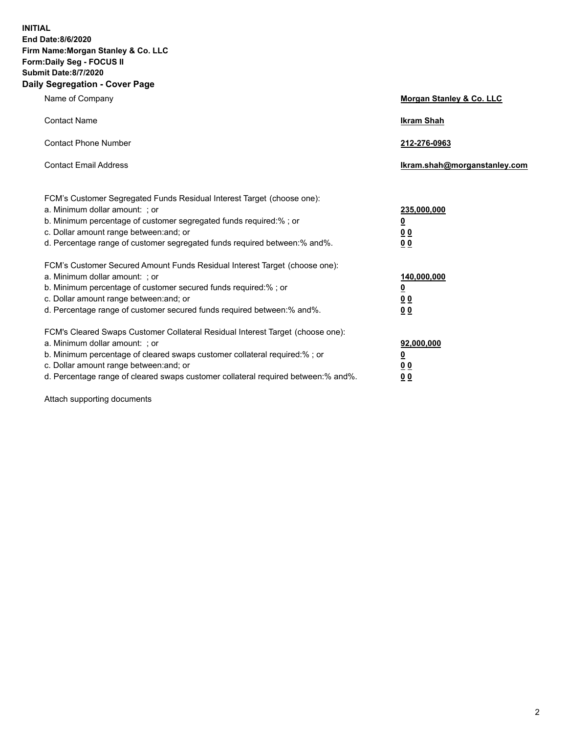**INITIAL End Date:8/6/2020 Firm Name:Morgan Stanley & Co. LLC Form:Daily Seg - FOCUS II Submit Date:8/7/2020 Daily Segregation - Cover Page**

| Name of Company                                                                   | Morgan Stanley & Co. LLC     |
|-----------------------------------------------------------------------------------|------------------------------|
| <b>Contact Name</b>                                                               | <b>Ikram Shah</b>            |
| <b>Contact Phone Number</b>                                                       | 212-276-0963                 |
| <b>Contact Email Address</b>                                                      | lkram.shah@morganstanley.com |
| FCM's Customer Segregated Funds Residual Interest Target (choose one):            |                              |
| a. Minimum dollar amount: ; or                                                    | 235,000,000                  |
| b. Minimum percentage of customer segregated funds required:% ; or                | <u>0</u>                     |
| c. Dollar amount range between: and; or                                           | <u>00</u>                    |
| d. Percentage range of customer segregated funds required between: % and %.       | 00                           |
| FCM's Customer Secured Amount Funds Residual Interest Target (choose one):        |                              |
| a. Minimum dollar amount: : or                                                    | 140,000,000                  |
| b. Minimum percentage of customer secured funds required:%; or                    | <u>0</u>                     |
| c. Dollar amount range between: and; or                                           | 0 <sub>0</sub>               |
| d. Percentage range of customer secured funds required between:% and%.            | 0 <sub>0</sub>               |
| FCM's Cleared Swaps Customer Collateral Residual Interest Target (choose one):    |                              |
| a. Minimum dollar amount: ; or                                                    | 92,000,000                   |
| b. Minimum percentage of cleared swaps customer collateral required:% ; or        | <u>0</u>                     |
| c. Dollar amount range between: and; or                                           | 00                           |
| d. Percentage range of cleared swaps customer collateral required between:% and%. | 0 <sub>0</sub>               |

Attach supporting documents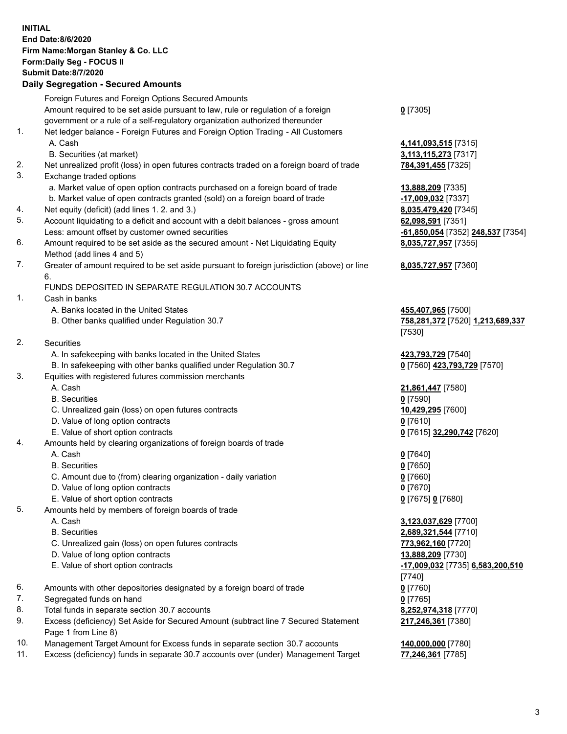|     | <b>INITIAL</b>                                                                                     |                                   |
|-----|----------------------------------------------------------------------------------------------------|-----------------------------------|
|     | End Date:8/6/2020                                                                                  |                                   |
|     | Firm Name: Morgan Stanley & Co. LLC                                                                |                                   |
|     | Form: Daily Seg - FOCUS II                                                                         |                                   |
|     | <b>Submit Date:8/7/2020</b>                                                                        |                                   |
|     | <b>Daily Segregation - Secured Amounts</b>                                                         |                                   |
|     | Foreign Futures and Foreign Options Secured Amounts                                                |                                   |
|     | Amount required to be set aside pursuant to law, rule or regulation of a foreign                   | $0$ [7305]                        |
|     | government or a rule of a self-regulatory organization authorized thereunder                       |                                   |
| 1.  | Net ledger balance - Foreign Futures and Foreign Option Trading - All Customers                    |                                   |
|     | A. Cash                                                                                            | 4,141,093,515 [7315]              |
|     | B. Securities (at market)                                                                          | 3,113,115,273 [7317]              |
| 2.  | Net unrealized profit (loss) in open futures contracts traded on a foreign board of trade          | 784,391,455 [7325]                |
| 3.  | Exchange traded options                                                                            |                                   |
|     | a. Market value of open option contracts purchased on a foreign board of trade                     | 13,888,209 [7335]                 |
|     | b. Market value of open contracts granted (sold) on a foreign board of trade                       | -17,009,032 [7337]                |
| 4.  | Net equity (deficit) (add lines 1.2. and 3.)                                                       | 8,035,479,420 [7345]              |
| 5.  | Account liquidating to a deficit and account with a debit balances - gross amount                  | 62,098,591 [7351]                 |
|     | Less: amount offset by customer owned securities                                                   | -61,850,054 [7352] 248,537 [7354] |
| 6.  | Amount required to be set aside as the secured amount - Net Liquidating Equity                     | 8,035,727,957 [7355]              |
|     | Method (add lines 4 and 5)                                                                         |                                   |
| 7.  | Greater of amount required to be set aside pursuant to foreign jurisdiction (above) or line        | 8,035,727,957 [7360]              |
|     | 6.                                                                                                 |                                   |
|     | FUNDS DEPOSITED IN SEPARATE REGULATION 30.7 ACCOUNTS                                               |                                   |
| 1.  | Cash in banks                                                                                      |                                   |
|     | A. Banks located in the United States                                                              | 455,407,965 [7500]                |
|     | B. Other banks qualified under Regulation 30.7                                                     | 758,281,372 [7520] 1,213,689,337  |
| 2.  | Securities                                                                                         | [7530]                            |
|     | A. In safekeeping with banks located in the United States                                          | 423,793,729 [7540]                |
|     | B. In safekeeping with other banks qualified under Regulation 30.7                                 | 0 [7560] 423,793,729 [7570]       |
| 3.  | Equities with registered futures commission merchants                                              |                                   |
|     | A. Cash                                                                                            | 21,861,447 [7580]                 |
|     | <b>B.</b> Securities                                                                               | $0$ [7590]                        |
|     | C. Unrealized gain (loss) on open futures contracts                                                | 10,429,295 [7600]                 |
|     | D. Value of long option contracts                                                                  | $0$ [7610]                        |
|     | E. Value of short option contracts                                                                 | 0 [7615] 32,290,742 [7620]        |
| 4.  | Amounts held by clearing organizations of foreign boards of trade                                  |                                   |
|     | A. Cash                                                                                            | $0$ [7640]                        |
|     | <b>B.</b> Securities                                                                               | $0$ [7650]                        |
|     | C. Amount due to (from) clearing organization - daily variation                                    | $0$ [7660]                        |
|     | D. Value of long option contracts                                                                  | $0$ [7670]                        |
|     | E. Value of short option contracts                                                                 | 0 [7675] 0 [7680]                 |
| 5.  | Amounts held by members of foreign boards of trade                                                 |                                   |
|     | A. Cash                                                                                            | 3,123,037,629 [7700]              |
|     | <b>B.</b> Securities                                                                               | 2,689,321,544 [7710]              |
|     | C. Unrealized gain (loss) on open futures contracts                                                | 773,962,160 [7720]                |
|     | D. Value of long option contracts                                                                  | 13,888,209 [7730]                 |
|     | E. Value of short option contracts                                                                 | -17,009,032 [7735] 6,583,200,510  |
|     |                                                                                                    | $[7740]$                          |
| 6.  | Amounts with other depositories designated by a foreign board of trade                             | $0$ [7760]                        |
| 7.  | Segregated funds on hand                                                                           | $0$ [7765]                        |
| 8.  | Total funds in separate section 30.7 accounts                                                      | 8,252,974,318 [7770]              |
| 9.  | Excess (deficiency) Set Aside for Secured Amount (subtract line 7 Secured Statement                | 217,246,361 [7380]                |
| 10. | Page 1 from Line 8)<br>Management Target Amount for Excess funds in separate section 30.7 accounts |                                   |
|     |                                                                                                    | 140,000,000 [7780]                |

11. Excess (deficiency) funds in separate 30.7 accounts over (under) Management Target **77,246,361** [7785]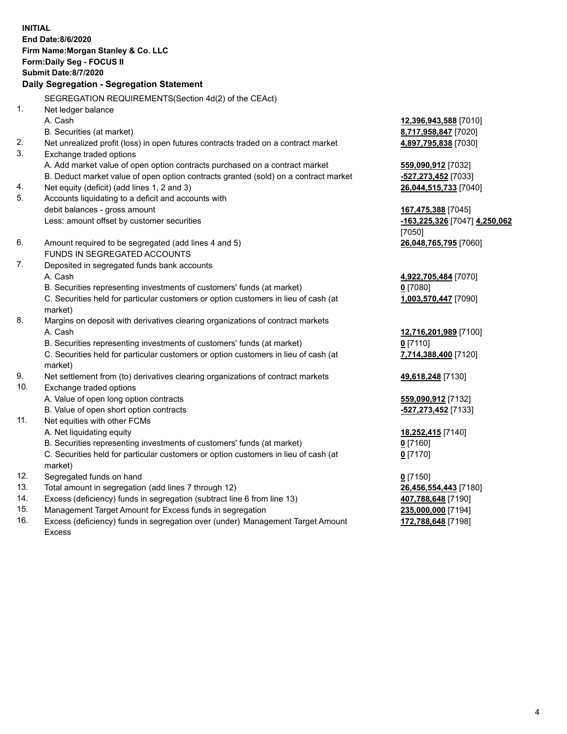| <b>INITIAL</b> | End Date:8/6/2020<br>Firm Name: Morgan Stanley & Co. LLC<br>Form: Daily Seg - FOCUS II<br><b>Submit Date: 8/7/2020</b><br>Daily Segregation - Segregation Statement |                               |
|----------------|---------------------------------------------------------------------------------------------------------------------------------------------------------------------|-------------------------------|
|                |                                                                                                                                                                     |                               |
|                | SEGREGATION REQUIREMENTS(Section 4d(2) of the CEAct)                                                                                                                |                               |
| 1.             | Net ledger balance                                                                                                                                                  |                               |
|                | A. Cash                                                                                                                                                             | 12,396,943,588 [7010]         |
|                | B. Securities (at market)                                                                                                                                           | 8,717,958,847 [7020]          |
| 2.             | Net unrealized profit (loss) in open futures contracts traded on a contract market                                                                                  | 4,897,795,838 [7030]          |
| 3.             | Exchange traded options                                                                                                                                             |                               |
|                | A. Add market value of open option contracts purchased on a contract market                                                                                         | 559,090,912 [7032]            |
|                | B. Deduct market value of open option contracts granted (sold) on a contract market                                                                                 | -527,273,452 [7033]           |
| 4.             | Net equity (deficit) (add lines 1, 2 and 3)                                                                                                                         | 26,044,515,733 [7040]         |
| 5.             | Accounts liquidating to a deficit and accounts with                                                                                                                 |                               |
|                | debit balances - gross amount                                                                                                                                       | 167,475,388 [7045]            |
|                | Less: amount offset by customer securities                                                                                                                          | -163,225,326 [7047] 4,250,062 |
|                |                                                                                                                                                                     | [7050]                        |
| 6.             | Amount required to be segregated (add lines 4 and 5)                                                                                                                | 26,048,765,795 [7060]         |
|                | FUNDS IN SEGREGATED ACCOUNTS                                                                                                                                        |                               |
| 7.             | Deposited in segregated funds bank accounts                                                                                                                         |                               |
|                | A. Cash                                                                                                                                                             | 4,922,705,484 [7070]          |
|                | B. Securities representing investments of customers' funds (at market)                                                                                              | $0$ [7080]                    |
|                | C. Securities held for particular customers or option customers in lieu of cash (at<br>market)                                                                      | 1,003,570,447 [7090]          |
| 8.             | Margins on deposit with derivatives clearing organizations of contract markets                                                                                      |                               |
|                | A. Cash                                                                                                                                                             | 12,716,201,989 [7100]         |
|                | B. Securities representing investments of customers' funds (at market)                                                                                              | $0$ [7110]                    |
|                | C. Securities held for particular customers or option customers in lieu of cash (at                                                                                 | 7,714,388,400 [7120]          |
|                | market)                                                                                                                                                             |                               |
| 9.             | Net settlement from (to) derivatives clearing organizations of contract markets                                                                                     | 49,618,248 [7130]             |
| 10.            | Exchange traded options                                                                                                                                             |                               |
|                | A. Value of open long option contracts                                                                                                                              | 559,090,912 [7132]            |
|                | B. Value of open short option contracts                                                                                                                             | -527,273,452 [7133]           |
| 11.            | Net equities with other FCMs                                                                                                                                        |                               |
|                | A. Net liquidating equity                                                                                                                                           | 18,252,415 [7140]             |
|                | B. Securities representing investments of customers' funds (at market)                                                                                              | <u>0</u> [7160]               |
|                | C. Securities held for particular customers or option customers in lieu of cash (at<br>market)                                                                      | $0$ [7170]                    |
| 12.            | Segregated funds on hand                                                                                                                                            | $0$ [7150]                    |
| 13.            | Total amount in segregation (add lines 7 through 12)                                                                                                                | 26,456,554,443 [7180]         |
| 14.            | Excess (deficiency) funds in segregation (subtract line 6 from line 13)                                                                                             | 407,788,648 [7190]            |
|                |                                                                                                                                                                     |                               |

- 
- 15. Management Target Amount for Excess funds in segregation<br>16. Excess (deficiency) funds in segregation over (under) Management Target Amount 172,788,648 [7198] Excess (deficiency) funds in segregation over (under) Management Target Amount Excess

**172,788,648** [7198]